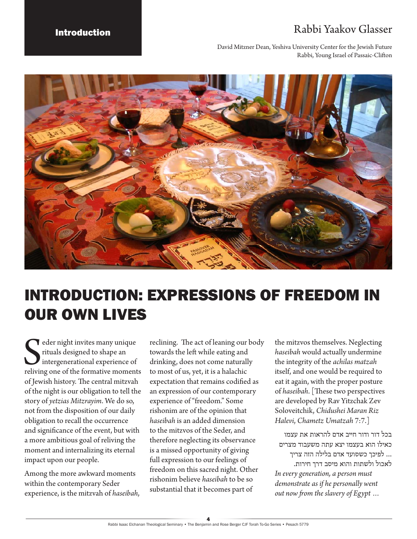## Introduction **Rabbi Yaakov Glasser**

David Mitzner Dean, Yeshiva University Center for the Jewish Future Rabbi, Young Israel of Passaic-Clifton



## INTRODUCTION: EXPRESSIONS OF FREEDOM IN OUR OWN LIVES

Seder night invites many unique<br>
rituals designed to shape an<br>
intergenerational experience of<br>
reliving one of the formative moments eder night invites many unique rituals designed to shape an intergenerational experience of of Jewish history. The central mitzvah of the night is our obligation to tell the story of *yetzias Mitzrayim*. We do so, not from the disposition of our daily obligation to recall the occurrence and significance of the event, but with a more ambitious goal of reliving the moment and internalizing its eternal impact upon our people.

Among the more awkward moments within the contemporary Seder experience, is the mitzvah of *haseibah*, reclining. The act of leaning our body towards the left while eating and drinking, does not come naturally to most of us, yet, it is a halachic expectation that remains codified as an expression of our contemporary experience of "freedom." Some rishonim are of the opinion that *haseibah* is an added dimension to the mitzvos of the Seder, and therefore neglecting its observance is a missed opportunity of giving full expression to our feelings of freedom on this sacred night. Other rishonim believe *haseibah* to be so substantial that it becomes part of

the mitzvos themselves. Neglecting *haseibah* would actually undermine the integrity of the *achilas matzah* itself, and one would be required to eat it again, with the proper posture of *haseibah*. [These two perspectives are developed by Rav Yitzchak Zev Soloveitchik, *Chidushei Maran Riz Halevi*, *Chametz Umatzah* 7:7.]

בכל דור ודור חייב אדם להראות את עצמו כאילו הוא בעצמו יצא עתה משעבוד מצרים ... לפיכך כשסועד אדם בלילה הזה צריך לאכול ולשתות והוא מיסב דרך חירות. *In every generation, a person must demonstrate as if he personally went out now from the slavery of Egypt …*